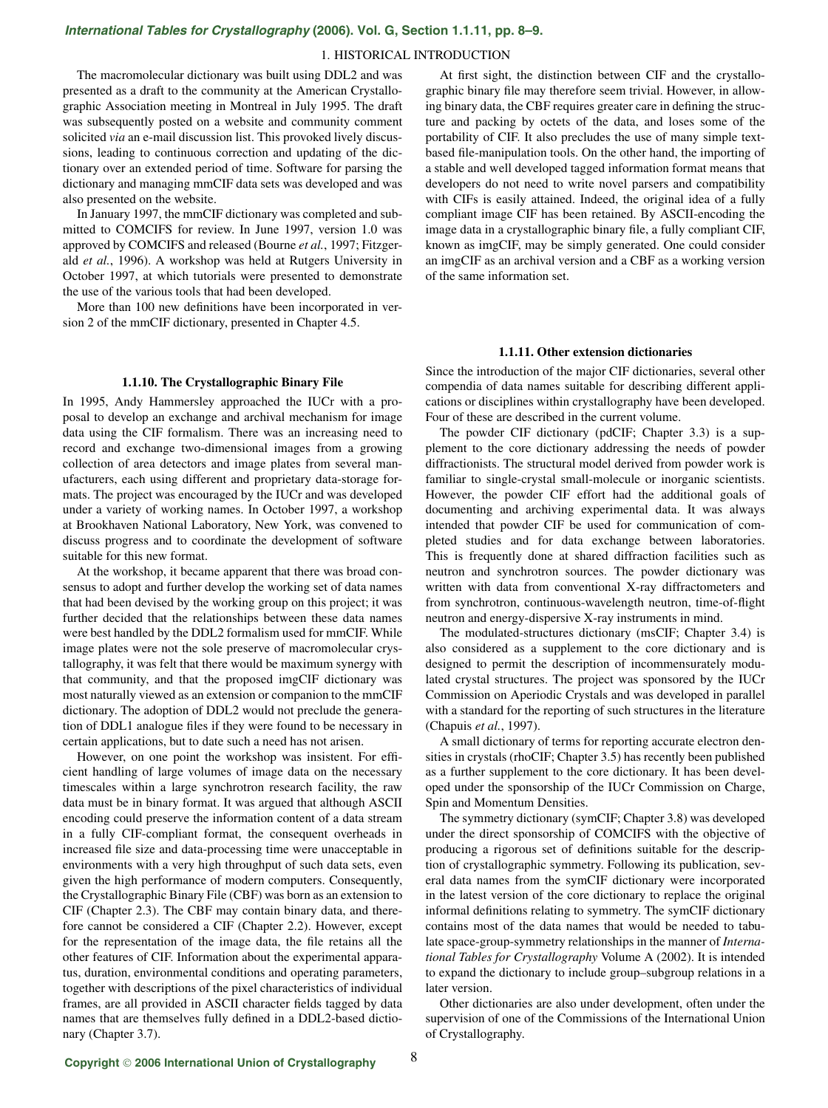# *[International Tables for Crystallography](http://it.iucr.org/Ga/ch1o1v0001/sec1o1o11/)* **(2006). Vol. G, Section 1.1.11, pp. 8–9.**

## 1. HISTORICAL INTRODUCTION

The macromolecular dictionary was built using DDL2 and was presented as a draft to the community at the American Crystallographic Association meeting in Montreal in July 1995. The draft was subsequently posted on a website and community comment solicited *via* an e-mail discussion list. This provoked lively discussions, leading to continuous correction and updating of the dictionary over an extended period of time. Software for parsing the dictionary and managing mmCIF data sets was developed and was also presented on the website.

In January 1997, the mmCIF dictionary was completed and submitted to COMCIFS for review. In June 1997, version 1.0 was approved by COMCIFS and released (Bourne *et al.*, 1997; Fitzgerald *et al.*, 1996). A workshop was held at Rutgers University in October 1997, at which tutorials were presented to demonstrate the use of the various tools that had been developed.

More than 100 new definitions have been incorporated in version 2 of the mmCIF dictionary, presented in Chapter 4.5.

# **1.1.10. The Crystallographic Binary File**

In 1995, Andy Hammersley approached the IUCr with a proposal to develop an exchange and archival mechanism for image data using the CIF formalism. There was an increasing need to record and exchange two-dimensional images from a growing collection of area detectors and image plates from several manufacturers, each using different and proprietary data-storage formats. The project was encouraged by the IUCr and was developed under a variety of working names. In October 1997, a workshop at Brookhaven National Laboratory, New York, was convened to discuss progress and to coordinate the development of software suitable for this new format.

At the workshop, it became apparent that there was broad consensus to adopt and further develop the working set of data names that had been devised by the working group on this project; it was further decided that the relationships between these data names were best handled by the DDL2 formalism used for mmCIF. While image plates were not the sole preserve of macromolecular crystallography, it was felt that there would be maximum synergy with that community, and that the proposed imgCIF dictionary was most naturally viewed as an extension or companion to the mmCIF dictionary. The adoption of DDL2 would not preclude the generation of DDL1 analogue files if they were found to be necessary in certain applications, but to date such a need has not arisen.

However, on one point the workshop was insistent. For efficient handling of large volumes of image data on the necessary timescales within a large synchrotron research facility, the raw data must be in binary format. It was argued that although ASCII encoding could preserve the information content of a data stream in a fully CIF-compliant format, the consequent overheads in increased file size and data-processing time were unacceptable in environments with a very high throughput of such data sets, even given the high performance of modern computers. Consequently, the Crystallographic Binary File (CBF) was born as an extension to CIF (Chapter 2.3). The CBF may contain binary data, and therefore cannot be considered a CIF (Chapter 2.2). However, except for the representation of the image data, the file retains all the other features of CIF. Information about the experimental apparatus, duration, environmental conditions and operating parameters, together with descriptions of the pixel characteristics of individual frames, are all provided in ASCII character fields tagged by data names that are themselves fully defined in a DDL2-based dictionary (Chapter 3.7).

At first sight, the distinction between CIF and the crystallographic binary file may therefore seem trivial. However, in allowing binary data, the CBF requires greater care in defining the structure and packing by octets of the data, and loses some of the portability of CIF. It also precludes the use of many simple textbased file-manipulation tools. On the other hand, the importing of a stable and well developed tagged information format means that developers do not need to write novel parsers and compatibility with CIFs is easily attained. Indeed, the original idea of a fully compliant image CIF has been retained. By ASCII-encoding the image data in a crystallographic binary file, a fully compliant CIF, known as imgCIF, may be simply generated. One could consider an imgCIF as an archival version and a CBF as a working version of the same information set.

### **1.1.11. Other extension dictionaries**

Since the introduction of the major CIF dictionaries, several other compendia of data names suitable for describing different applications or disciplines within crystallography have been developed. Four of these are described in the current volume.

The powder CIF dictionary (pdCIF; Chapter 3.3) is a supplement to the core dictionary addressing the needs of powder diffractionists. The structural model derived from powder work is familiar to single-crystal small-molecule or inorganic scientists. However, the powder CIF effort had the additional goals of documenting and archiving experimental data. It was always intended that powder CIF be used for communication of completed studies and for data exchange between laboratories. This is frequently done at shared diffraction facilities such as neutron and synchrotron sources. The powder dictionary was written with data from conventional X-ray diffractometers and from synchrotron, continuous-wavelength neutron, time-of-flight neutron and energy-dispersive X-ray instruments in mind.

The modulated-structures dictionary (msCIF; Chapter 3.4) is also considered as a supplement to the core dictionary and is designed to permit the description of incommensurately modulated crystal structures. The project was sponsored by the IUCr Commission on Aperiodic Crystals and was developed in parallel with a standard for the reporting of such structures in the literature (Chapuis *et al.*, 1997).

A small dictionary of terms for reporting accurate electron densities in crystals (rhoCIF; Chapter 3.5) has recently been published as a further supplement to the core dictionary. It has been developed under the sponsorship of the IUCr Commission on Charge, Spin and Momentum Densities.

The symmetry dictionary (symCIF; Chapter 3.8) was developed under the direct sponsorship of COMCIFS with the objective of producing a rigorous set of definitions suitable for the description of crystallographic symmetry. Following its publication, several data names from the symCIF dictionary were incorporated in the latest version of the core dictionary to replace the original informal definitions relating to symmetry. The symCIF dictionary contains most of the data names that would be needed to tabulate space-group-symmetry relationships in the manner of *International Tables for Crystallography* Volume A (2002). It is intended to expand the dictionary to include group–subgroup relations in a later version.

Other dictionaries are also under development, often under the supervision of one of the Commissions of the International Union of Crystallography.

8